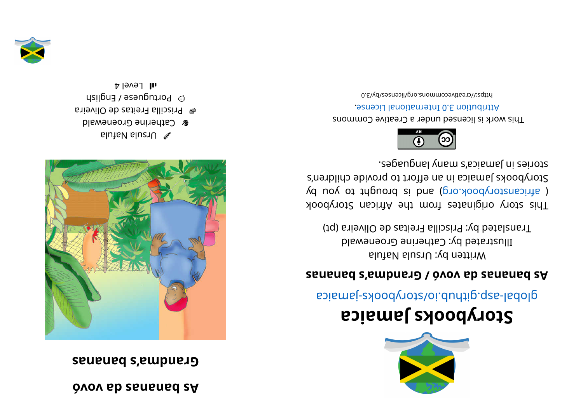## **óvov adsananabs A**

## **sananabs' a mdnar G**



alutable luzr $\cup$ **& Catherine Groenewald** ari evil O eds at i er alli carrel  $\blacksquare$  $\odot$  bortuguese / English

 $H$ l Level 4



## **aci <sup>a</sup> maJ skoobyr otS**

apiamej-zyoodyotz/oi.duntip.qzs-ladolg

## **sananabs' a mdnar G/ óvov adsananabs A**

Written by: Ursula Nafula Illustrated by: Catherine Groenewald Translated by: Priscilla Freitas de Oliveira (pt)

kood yoof a sing in and work set and work sid and a single single single single single single single ( africanstorybook.org) and is brought to you by Storybooks Jamaica in an effort to provide children's segaugnal ynam a' asiamel ni zeinota.



This work is licensed under a Creative Commons . esnecial lanoit anternational License.

bttps://creativecommons.org/licenses/by/3.0

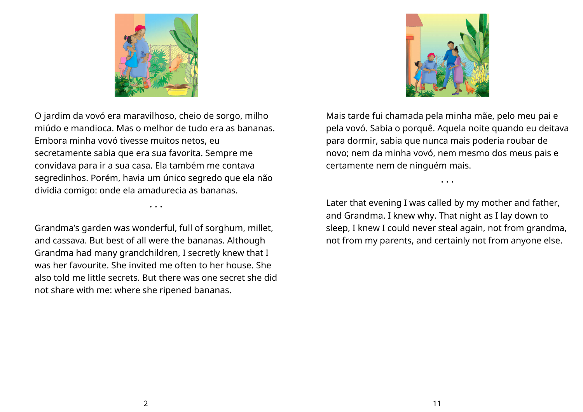

O jardim da vovó era maravilhoso, cheio de sorgo, milho miúdo e mandioca. Mas o melhor de tudo era as bananas. Embora minha vovó tivesse muitos netos, eu secretamente sabia que era sua favorita. Sempre me convidava para ir a sua casa. Ela também me contava segredinhos. Porém, havia um único segredo que ela não dividia comigo: onde ela amadurecia as bananas.

Grandma's garden was wonderful, full of sorghum, millet, and cassava. But best of all were the bananas. Although Grandma had many grandchildren, I secretly knew that I was her favourite. She invited me often to her house. She also told me little secrets. But there was one secret she did not share with me: where she ripened bananas.

• • •



Mais tarde fui chamada pela minha mãe, pelo meu pai e pela vovó. Sabia o porquê. Aquela noite quando eu deitava para dormir, sabia que nunca mais poderia roubar de novo; nem da minha vovó, nem mesmo dos meus pais e certamente nem de ninguém mais.

Later that evening I was called by my mother and father, and Grandma. I knew why. That night as I lay down to sleep, I knew I could never steal again, not from grandma, not from my parents, and certainly not from anyone else.

• • •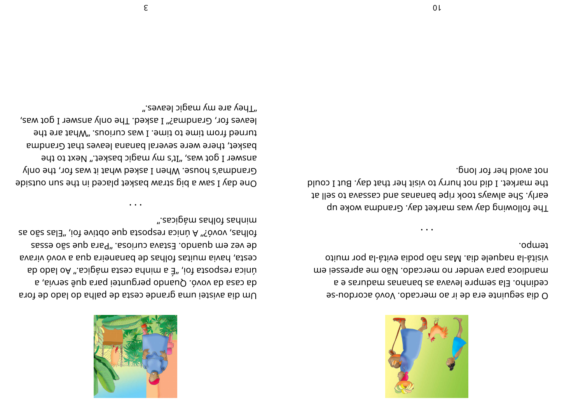

tempo. otium noq sl-stive siboq oğn zsM .sib eleupsn sl-stiziv mandioca para vender no mercado. Não me apressei em cedinho. Ela sempre levava as bananas maduras e a 9 dia seguinte era de ir ao mercado. Vovó acordou-se

not avoid her for long. the market. I did not hurry to visit her that day. But I could to lles of avays took ripe bananas and cassava to sell at The following day was market day. Grandma woke up

One day I saw a big straw basket placed in the sun outside ".esoipàm zadloì zadnim" folhas, vovó?" A única resposta que obtive foi, "Elas são as

asse on quando. Estava curiosa. "Para que são esas

svaniv ovov a sup sniemsnad eb zarlot zatium sivad , stas

Um dia avistei uma grande cesta de palha do lado de fora

ub obsl oA ".ebigàm steso sdnim s 3" ,iot steoqeen spinù

aa casa da vovó. Quando perguntei para quê servia, a

".e9vsəl ɔipɕm ɣm əาɕ ɣənT leaves for, Grandma?" I asked. The only answer I got was, turned from time to time. I was curious. "What are the basket, there were several banana leaves that Grandma answer I got was, "It's my magic basket." Next to the Grandma's house. When I asked what it was for, the only

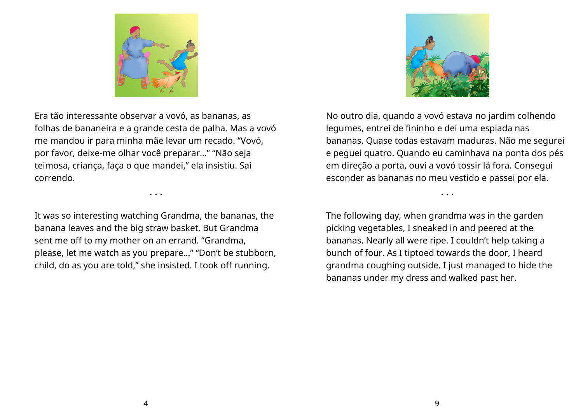

Era tão interessante observar a vovó, as bananas, as folhas de bananeira e a grande cesta de palha. Mas a vovó me mandou ir para minha mãe levar um recado. "Vovó, por favor, deixe-me olhar você preparar…" "Não seja teimosa, criança, faça o que mandei," ela insistiu. Saí correndo.

It was so interesting watching Grandma, the bananas, the banana leaves and the big straw basket. But Grandma sent me off to my mother on an errand. "Grandma, please, let me watch as you prepare…" "Don't be stubborn, child, do as you are told," she insisted. I took off running.

• • •



No outro dia, quando a vovó estava no jardim colhendo legumes, entrei de fininho e dei uma espiada nas bananas. Quase todas estavam maduras. Não me segurei e peguei quatro. Quando eu caminhava na ponta dos pés em direção a porta, ouvi a vovó tossir lá fora. Consegui esconder as bananas no meu vestido e passei por ela.

• • •

The following day, when grandma was in the garden picking vegetables, I sneaked in and peered at the bananas. Nearly all were ripe. I couldn't help taking a bunch of four. As I tiptoed towards the door, I heard grandma coughing outside. I just managed to hide the bananas under my dress and walked past her.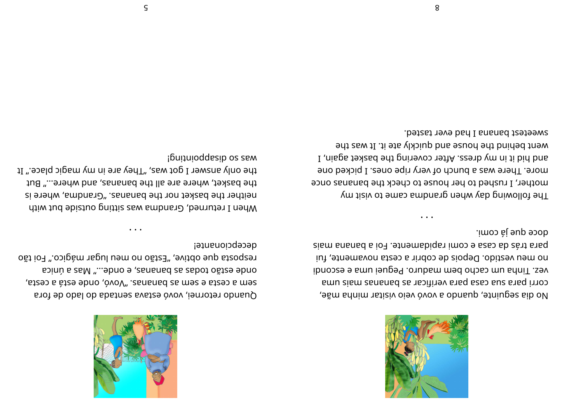

, eğm ahni mahani bir boyo ve opusu bir alan bir boyo alaq, et alan  $\alpha$ corri para sua casa para verificar as bananas mais uma  $i$ ibnocse e ann ieuge $P$ . Or uda med meb ohocac must be esconding that  $i$ iu men vestido. Depois de cobrir a cesta novamente, fui sism snanad a io<sub>7</sub>. et nemabigat imos e asas ab abricand .imoɔ ài əup əɔob

• • •

The following day when grandrate range to visit my mother, I rushed to her house to check the bananas once more. There was a bunch of very ripe ones. I picked one and hid it in my dress. After covering the basket again, I went behind the house and quickly ate it. It was the sweetest banana I had ever tasted.



Quando retornei, vovó estava sentada do lado de fora  $\alpha$ , at secta semana sequence are at secta,  $\alpha$ acinù a saM "...abno e ,asnanad sa sabot oãtes ebno resposta que obtive, "Estão no meu lugar mágico." Foi tão decepcionante!

• • •

when I returned, Grandma was sitting pusting about with si ereht the basket nor the bananas. Samba, where is the basket, where are all the bananas, and where..." But the only answer I got was, "They are in my magic place." It i buituioddesip os sem